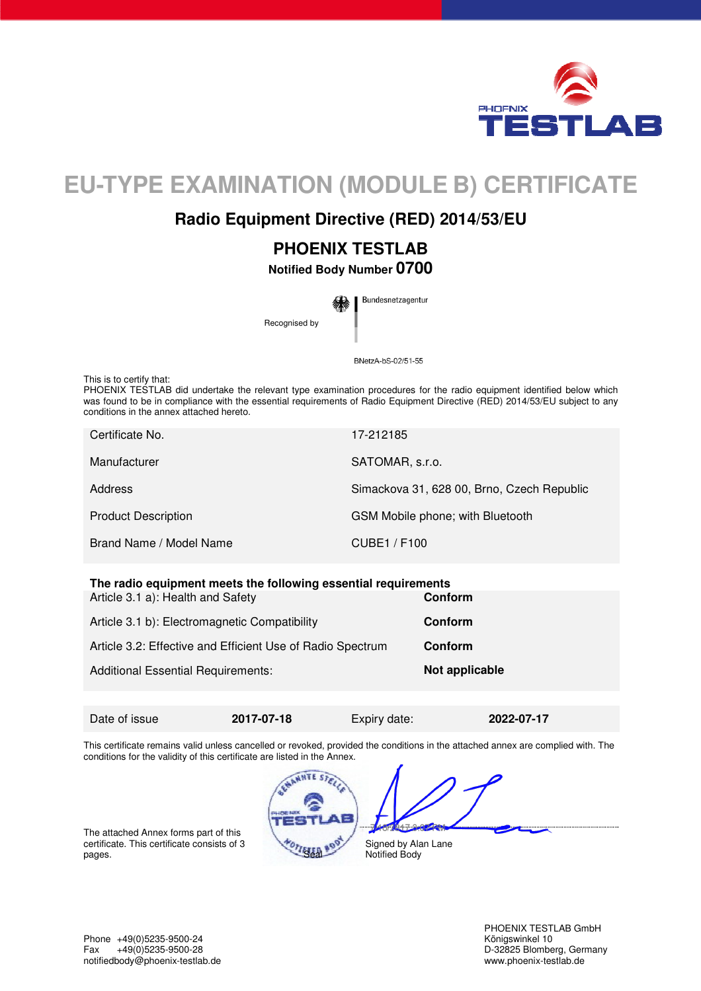

# **EU-TYPE EXAMINATION (MODULE B) CERTIFICATE**

### **Radio Equipment Directive (RED) 2014/53/EU**

## **PHOENIX TESTLAB**

**Notified Body Number 0700** 

Bundesnetzagentur Recognised by

BNetzA-bS-02/51-55

This is to certify that:

PHOENIX TESTLAB did undertake the relevant type examination procedures for the radio equipment identified below which was found to be in compliance with the essential requirements of Radio Equipment Directive (RED) 2014/53/EU subject to any conditions in the annex attached hereto.

| Certificate No.            | 17-212185                                  |
|----------------------------|--------------------------------------------|
| Manufacturer               | SATOMAR, s.r.o.                            |
| Address                    | Simackova 31, 628 00, Brno, Czech Republic |
| <b>Product Description</b> | GSM Mobile phone; with Bluetooth           |
| Brand Name / Model Name    | CUBE1 / F100                               |

#### **The radio equipment meets the following essential requirements**

| Article 3.1 a): Health and Safety                          | Conform        |
|------------------------------------------------------------|----------------|
| Article 3.1 b): Electromagnetic Compatibility              | Conform        |
| Article 3.2: Effective and Efficient Use of Radio Spectrum | <b>Conform</b> |
| <b>Additional Essential Requirements:</b>                  | Not applicable |
|                                                            |                |

Date of issue **2017-07-18** Expiry date: **2022-07-17** 

Ì

This certificate remains valid unless cancelled or revoked, provided the conditions in the attached annex are complied with. The conditions for the validity of this certificate are listed in the Annex.

The attached Annex forms part of this certificate. This certificate consists of 3 pages.

Signed by Alan Lane Notified Body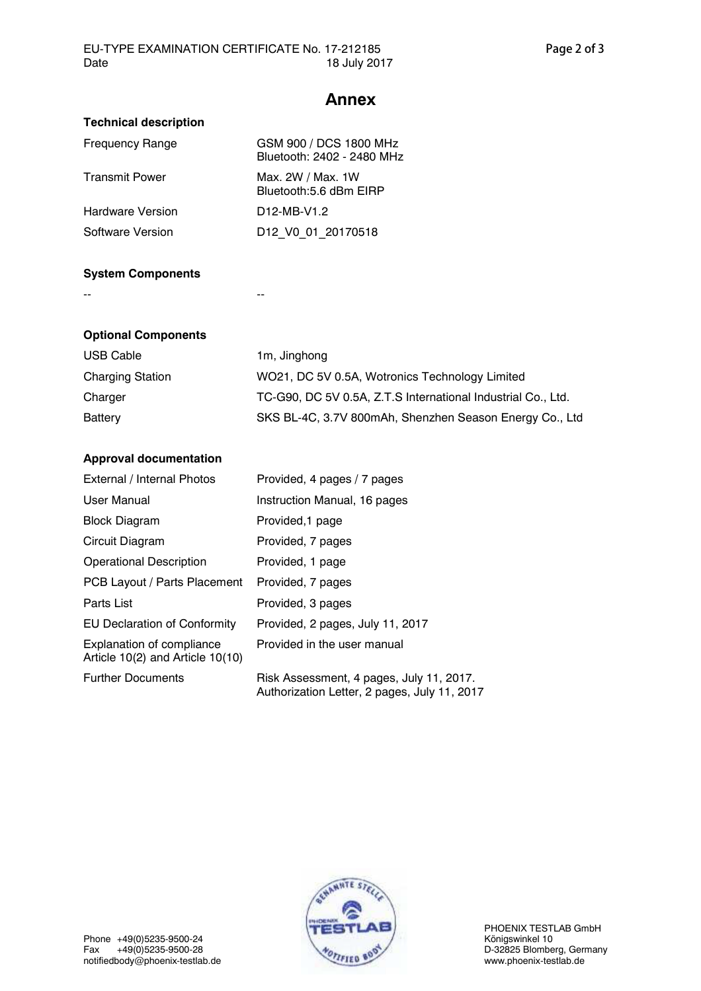#### **Annex**

| GSM 900 / DCS 1800 MHz<br>Bluetooth: 2402 - 2480 MHz |
|------------------------------------------------------|
| Max. 2W / Max. 1W<br>Bluetooth:5.6 dBm EIRP          |
| D <sub>12</sub> -MB-V <sub>1.2</sub>                 |
| D12 V0 01 20170518                                   |
|                                                      |

#### **System Components**

-- --

| <b>Optional Components</b> |                                                              |
|----------------------------|--------------------------------------------------------------|
| <b>USB Cable</b>           | 1m, Jinghong                                                 |
| <b>Charging Station</b>    | WO21, DC 5V 0.5A, Wotronics Technology Limited               |
| Charger                    | TC-G90, DC 5V 0.5A, Z.T.S International Industrial Co., Ltd. |
| Battery                    | SKS BL-4C, 3.7V 800mAh, Shenzhen Season Energy Co., Ltd      |

#### **Approval documentation**

| External / Internal Photos                                    | Provided, 4 pages / 7 pages                                                              |
|---------------------------------------------------------------|------------------------------------------------------------------------------------------|
| User Manual                                                   | Instruction Manual, 16 pages                                                             |
| <b>Block Diagram</b>                                          | Provided, 1 page                                                                         |
| Circuit Diagram                                               | Provided, 7 pages                                                                        |
| <b>Operational Description</b>                                | Provided, 1 page                                                                         |
| PCB Layout / Parts Placement                                  | Provided, 7 pages                                                                        |
| Parts List                                                    | Provided, 3 pages                                                                        |
| EU Declaration of Conformity                                  | Provided, 2 pages, July 11, 2017                                                         |
| Explanation of compliance<br>Article 10(2) and Article 10(10) | Provided in the user manual                                                              |
| <b>Further Documents</b>                                      | Risk Assessment, 4 pages, July 11, 2017.<br>Authorization Letter, 2 pages, July 11, 2017 |